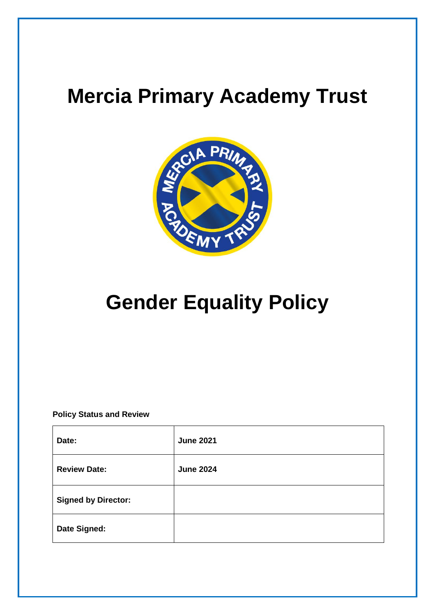# **Mercia Primary Academy Trust**



# **Gender Equality Policy**

**Policy Status and Review**

| Date:                      | <b>June 2021</b> |
|----------------------------|------------------|
| <b>Review Date:</b>        | <b>June 2024</b> |
| <b>Signed by Director:</b> |                  |
| Date Signed:               |                  |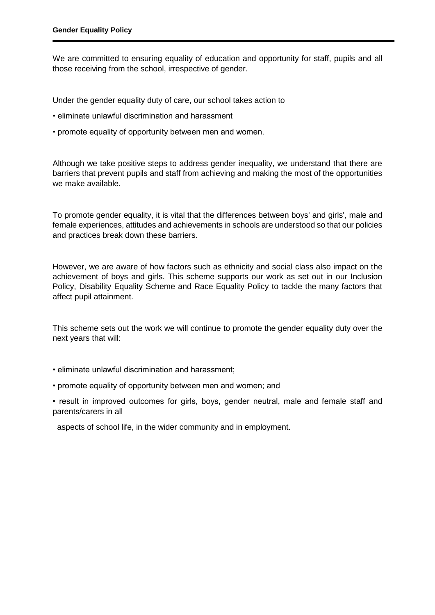We are committed to ensuring equality of education and opportunity for staff, pupils and all those receiving from the school, irrespective of gender.

Under the gender equality duty of care, our school takes action to

- eliminate unlawful discrimination and harassment
- promote equality of opportunity between men and women.

Although we take positive steps to address gender inequality, we understand that there are barriers that prevent pupils and staff from achieving and making the most of the opportunities we make available.

To promote gender equality, it is vital that the differences between boys' and girls', male and female experiences, attitudes and achievements in schools are understood so that our policies and practices break down these barriers.

However, we are aware of how factors such as ethnicity and social class also impact on the achievement of boys and girls. This scheme supports our work as set out in our Inclusion Policy, Disability Equality Scheme and Race Equality Policy to tackle the many factors that affect pupil attainment.

This scheme sets out the work we will continue to promote the gender equality duty over the next years that will:

• eliminate unlawful discrimination and harassment;

• promote equality of opportunity between men and women; and

• result in improved outcomes for girls, boys, gender neutral, male and female staff and parents/carers in all

aspects of school life, in the wider community and in employment.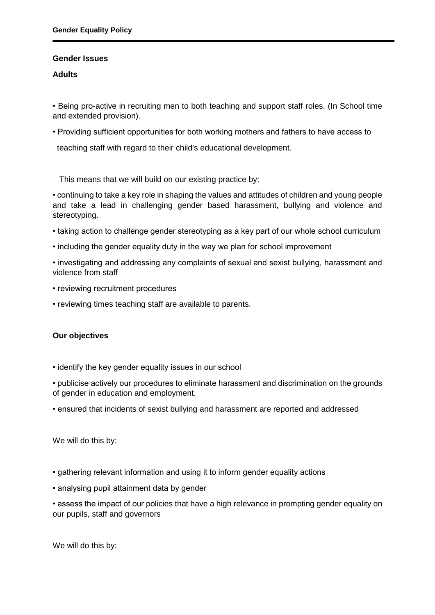### **Gender Issues**

#### **Adults**

• Being pro-active in recruiting men to both teaching and support staff roles. (In School time and extended provision).

• Providing sufficient opportunities for both working mothers and fathers to have access to

teaching staff with regard to their child's educational development.

This means that we will build on our existing practice by:

• continuing to take a key role in shaping the values and attitudes of children and young people and take a lead in challenging gender based harassment, bullying and violence and stereotyping.

- taking action to challenge gender stereotyping as a key part of our whole school curriculum
- including the gender equality duty in the way we plan for school improvement
- investigating and addressing any complaints of sexual and sexist bullying, harassment and violence from staff
- reviewing recruitment procedures
- reviewing times teaching staff are available to parents.

## **Our objectives**

• identify the key gender equality issues in our school

• publicise actively our procedures to eliminate harassment and discrimination on the grounds of gender in education and employment.

• ensured that incidents of sexist bullying and harassment are reported and addressed

We will do this by:

- gathering relevant information and using it to inform gender equality actions
- analysing pupil attainment data by gender
- assess the impact of our policies that have a high relevance in prompting gender equality on our pupils, staff and governors

We will do this by: